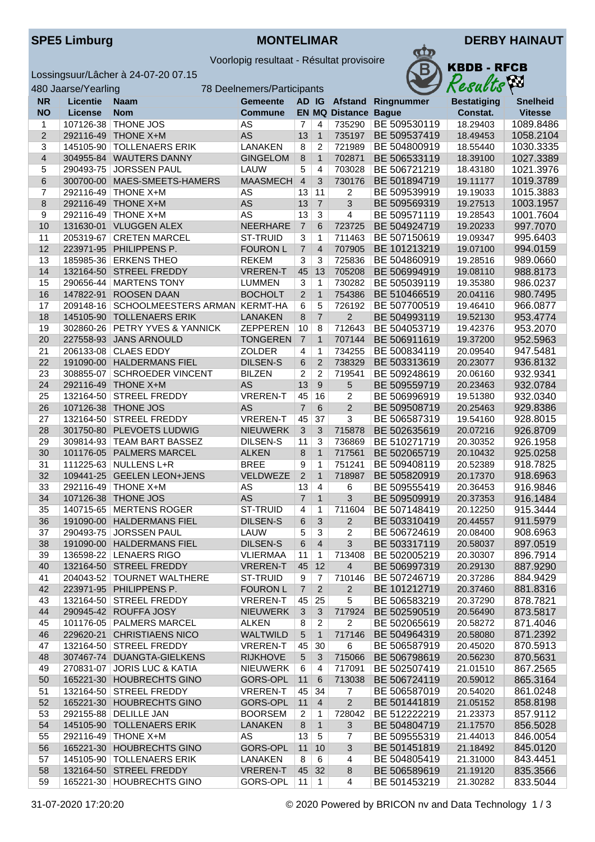

Voorlopig resultaat - Résultat provisoire

Lossingsuur/Lâcher à 24-07-20 07.15



| 480 Jaarse/Yearling<br>78 Deelnemers/Participants |                 |                               |                 |                |                |                             |                    | Resacus            | $\mathcal{L}$   |
|---------------------------------------------------|-----------------|-------------------------------|-----------------|----------------|----------------|-----------------------------|--------------------|--------------------|-----------------|
| <b>NR</b>                                         | <b>Licentie</b> | <b>Naam</b>                   | <b>Gemeente</b> | AD IG          |                |                             | Afstand Ringnummer | <b>Bestatiging</b> | <b>Snelheid</b> |
| <b>NO</b>                                         | <b>License</b>  | <b>Nom</b>                    | <b>Commune</b>  |                |                | <b>EN MQ Distance Bague</b> |                    | Constat.           | <b>Vitesse</b>  |
| $\mathbf{1}$                                      | 107126-38       | THONE JOS                     | AS              | 7              | $\overline{4}$ | 735290                      | BE 509530119       | 18.29403           | 1089.8486       |
| $\sqrt{2}$                                        | 292116-49       | <b>THONE X+M</b>              | <b>AS</b>       | 13             | $\mathbf{1}$   | 735197                      | BE 509537419       | 18.49453           | 1058.2104       |
| 3                                                 | 145105-90       | <b>TOLLENAERS ERIK</b>        | LANAKEN         | 8              | 2              | 721989                      | BE 504800919       | 18.55440           | 1030.3335       |
| $\overline{\mathbf{4}}$                           | 304955-84       | <b>WAUTERS DANNY</b>          | <b>GINGELOM</b> | 8              | $\mathbf{1}$   | 702871                      | BE 506533119       | 18.39100           | 1027.3389       |
| 5                                                 | 290493-75       | <b>JORSSEN PAUL</b>           | LAUW            | 5              | $\overline{4}$ | 703028                      | BE 506721219       | 18.43180           | 1021.3976       |
| 6                                                 | 300700-00       | MAES-SMEETS-HAMERS            | <b>MAASMECH</b> | $\overline{4}$ | 3              | 730176                      | BE 501894719       | 19.11177           | 1019.3789       |
| 7                                                 |                 | 292116-49 THONE X+M           | AS              | 13             | 11             | 2                           | BE 509539919       | 19.19033           | 1015.3883       |
| 8                                                 | 292116-49       | <b>THONE X+M</b>              | <b>AS</b>       | 13             | $\overline{7}$ | 3                           | BE 509569319       | 19.27513           | 1003.1957       |
| 9                                                 | 292116-49       | <b>THONE X+M</b>              | <b>AS</b>       | 13             | $\overline{3}$ | 4                           | BE 509571119       | 19.28543           | 1001.7604       |
| 10                                                | 131630-01       | <b>VLUGGEN ALEX</b>           | <b>NEERHARE</b> | $\overline{7}$ | 6              | 723725                      | BE 504924719       | 19.20233           | 997.7070        |
| 11                                                | 205319-67       | <b>CRETEN MARCEL</b>          | <b>ST-TRUID</b> | 3              | $\mathbf{1}$   | 711463                      | BE 507150619       | 19.09347           | 995.6403        |
| 12                                                | 223971-95       | PHILIPPENS P.                 | <b>FOURON L</b> | $\overline{7}$ | $\overline{4}$ | 707905                      | BE 101213219       | 19.07100           | 994.0159        |
| 13                                                |                 | 185985-36 ERKENS THEO         | <b>REKEM</b>    | 3              | 3              | 725836                      | BE 504860919       | 19.28516           | 989.0660        |
| 14                                                | 132164-50       | <b>STREEL FREDDY</b>          | <b>VREREN-T</b> | 45             | 13             | 705208                      | BE 506994919       | 19.08110           | 988.8173        |
| 15                                                |                 | 290656-44   MARTENS TONY      | <b>LUMMEN</b>   | 3              | $\mathbf{1}$   | 730282                      | BE 505039119       | 19.35380           | 986.0237        |
| 16                                                | 147822-91       | <b>ROOSEN DAAN</b>            | <b>BOCHOLT</b>  | $\overline{2}$ | $\mathbf{1}$   | 754386                      | BE 510466519       | 20.04116           | 980.7495        |
| 17                                                | 209148-16       | SCHOOLMEESTERS ARMAN KERMT-HA |                 | 6              | 5              | 726192                      | BE 507700519       | 19.46410           | 966.0877        |
| 18                                                |                 | 145105-90 TOLLENAERS ERIK     | <b>LANAKEN</b>  | 8              | $\overline{7}$ | $\overline{2}$              | BE 504993119       | 19.52130           | 953.4774        |
| 19                                                | 302860-26       | PETRY YVES & YANNICK          | <b>ZEPPEREN</b> | 10             | 8              | 712643                      | BE 504053719       | 19.42376           | 953.2070        |
| 20                                                |                 | 227558-93 JANS ARNOULD        | <b>TONGEREN</b> | $\overline{7}$ | $\mathbf{1}$   | 707144                      | BE 506911619       | 19.37200           | 952.5963        |
| 21                                                |                 | 206133-08 CLAES EDDY          | <b>ZOLDER</b>   | 4              | $\mathbf{1}$   | 734255                      | BE 500834119       | 20.09540           | 947.5481        |
| 22                                                | 191090-00       | <b>HALDERMANS FIEL</b>        | <b>DILSEN-S</b> | 6              | $\overline{2}$ | 738329                      | BE 503313619       | 20.23077           | 936.8132        |
| 23                                                | 308855-07       | <b>SCHROEDER VINCENT</b>      | <b>BILZEN</b>   | 2              | $\overline{2}$ | 719541                      | BE 509248619       | 20.06160           | 932.9341        |
| 24                                                |                 | 292116-49 THONE X+M           | <b>AS</b>       | 13             | 9              | 5                           | BE 509559719       | 20.23463           | 932.0784        |
| 25                                                | 132164-50       | <b>STREEL FREDDY</b>          | <b>VREREN-T</b> | 45             | 16             | $\overline{2}$              | BE 506996919       | 19.51380           | 932.0340        |
| 26                                                |                 | 107126-38 THONE JOS           | <b>AS</b>       | $\overline{7}$ | 6              | $\overline{2}$              | BE 509508719       | 20.25463           | 929.8386        |
| 27                                                | 132164-50       | <b>STREEL FREDDY</b>          | <b>VREREN-T</b> | 45             | 37             | 3                           | BE 506587319       | 19.54160           | 928.8015        |
| 28                                                | 301750-80       | PLEVOETS LUDWIG               | <b>NIEUWERK</b> | $\mathbf{3}$   | 3              | 715878                      | BE 502635619       | 20.07216           | 926.8709        |
| 29                                                |                 | 309814-93 TEAM BART BASSEZ    | DILSEN-S        | 11             | 3              | 736869                      | BE 510271719       | 20.30352           | 926.1958        |
| 30                                                | 101176-05       | PALMERS MARCEL                | <b>ALKEN</b>    | 8              | $\mathbf{1}$   | 717561                      | BE 502065719       | 20.10432           | 925.0258        |
| 31                                                |                 | 111225-63 NULLENS L+R         | <b>BREE</b>     | 9              | $\mathbf{1}$   | 751241                      | BE 509408119       | 20.52389           | 918.7825        |
| 32                                                |                 | 109441-25 GEELEN LEON+JENS    | VELDWEZE        | $\overline{2}$ | $\mathbf{1}$   | 718987                      | BE 505820919       | 20.17370           | 918.6963        |
| 33                                                |                 | 292116-49 THONE X+M           | AS              | 13             | $\overline{4}$ | 6                           | BE 509555419       | 20.36453           | 916.9846        |
| 34                                                |                 | 107126-38 THONE JOS           | <b>AS</b>       | $\overline{7}$ | $\mathbf{1}$   | 3                           | BE 509509919       | 20.37353           | 916.1484        |
| 35                                                |                 | 140715-65 MERTENS ROGER       | <b>ST-TRUID</b> | 4              | $\overline{1}$ | 711604                      | BE 507148419       | 20.12250           | 915.3444        |
| 36                                                |                 | 191090-00 HALDERMANS FIEL     | <b>DILSEN-S</b> | 6              | $\overline{3}$ | $\overline{2}$              | BE 503310419       | 20.44557           | 911.5979        |
| 37                                                |                 | 290493-75 JORSSEN PAUL        | LAUW            | $5 \mid 3$     |                | $\overline{2}$              | BE 506724619       | 20.08400           | 908.6963        |
| 38                                                |                 | 191090-00 HALDERMANS FIEL     | DILSEN-S        | 6              | $\overline{4}$ | 3                           | BE 503317119       | 20.58037           | 897.0519        |
| 39                                                |                 | 136598-22   LENAERS RIGO      | <b>VLIERMAA</b> | 11             | $\overline{1}$ | 713408                      | BE 502005219       | 20.30307           | 896.7914        |
| 40                                                |                 | 132164-50 STREEL FREDDY       | <b>VREREN-T</b> | 45             | 12             | $\overline{4}$              | BE 506997319       | 20.29130           | 887.9290        |
| 41                                                |                 | 204043-52 TOURNET WALTHERE    | ST-TRUID        | 9              | 7              | 710146                      | BE 507246719       | 20.37286           | 884.9429        |
| 42                                                |                 | 223971-95 PHILIPPENS P.       | <b>FOURON L</b> | $\overline{7}$ | $\overline{2}$ | $\overline{2}$              | BE 101212719       | 20.37460           | 881.8316        |
| 43                                                |                 | 132164-50 STREEL FREDDY       | <b>VREREN-T</b> | 45             | 25             | 5                           | BE 506583219       | 20.37290           | 878.7821        |
| 44                                                |                 | 290945-42 ROUFFA JOSY         | <b>NIEUWERK</b> | $\sqrt{3}$     | 3              | 717924                      | BE 502590519       | 20.56490           | 873.5817        |
| 45                                                |                 | 101176-05 PALMERS MARCEL      | <b>ALKEN</b>    | 8              | $\overline{c}$ | $\overline{2}$              | BE 502065619       | 20.58272           | 871.4046        |
| 46                                                |                 | 229620-21 CHRISTIAENS NICO    | WALTWILD        | 5              | $\mathbf{1}$   | 717146                      | BE 504964319       | 20.58080           | 871.2392        |
| 47                                                |                 | 132164-50 STREEL FREDDY       | <b>VREREN-T</b> | 45             | 30             | 6                           | BE 506587919       | 20.45020           | 870.5913        |
| 48                                                | 307467-74       | DUANGTA-GIELKENS              | <b>RIJKHOVE</b> | 5              | 3              | 715066                      | BE 506798619       | 20.56230           | 870.5631        |
| 49                                                |                 | 270831-07 JORIS LUC & KATIA   | <b>NIEUWERK</b> | 6              | 4              | 717091                      | BE 502507419       | 21.01510           | 867.2565        |
| 50                                                |                 | 165221-30 HOUBRECHTS GINO     | GORS-OPL        | 11             | 6              | 713038                      | BE 506724119       | 20.59012           | 865.3164        |
| 51                                                |                 | 132164-50 STREEL FREDDY       | <b>VREREN-T</b> | 45             | 34             | 7                           | BE 506587019       | 20.54020           | 861.0248        |
| 52                                                |                 | 165221-30 HOUBRECHTS GINO     | GORS-OPL        | 11             | $\overline{4}$ | $\overline{2}$              | BE 501441819       | 21.05152           | 858.8198        |
| 53                                                |                 | 292155-88 DELILLE JAN         | <b>BOORSEM</b>  | $\overline{2}$ | $\overline{1}$ | 728042                      | BE 512222219       | 21.23373           | 857.9112        |
| 54                                                |                 | 145105-90 TOLLENAERS ERIK     | LANAKEN         | 8              | $\overline{1}$ | 3                           | BE 504804719       | 21.17570           | 856.5028        |
| 55                                                |                 | 292116-49 THONE X+M           | AS              | 13             | 5              | $\overline{7}$              | BE 509555319       | 21.44013           | 846.0054        |
| 56                                                |                 | 165221-30 HOUBRECHTS GINO     | GORS-OPL        | 11             | 10             | $\mathfrak{S}$              | BE 501451819       | 21.18492           | 845.0120        |
| 57                                                |                 | 145105-90 TOLLENAERS ERIK     | LANAKEN         | 8              | 6              | 4                           | BE 504805419       | 21.31000           | 843.4451        |
| 58                                                |                 | 132164-50 STREEL FREDDY       | <b>VREREN-T</b> | 45 32          |                | 8                           | BE 506589619       | 21.19120           | 835.3566        |
| 59                                                |                 | 165221-30 HOUBRECHTS GINO     | GORS-OPL        | $11$   1       |                | 4                           | BE 501453219       | 21.30282           | 833.5044        |
|                                                   |                 |                               |                 |                |                |                             |                    |                    |                 |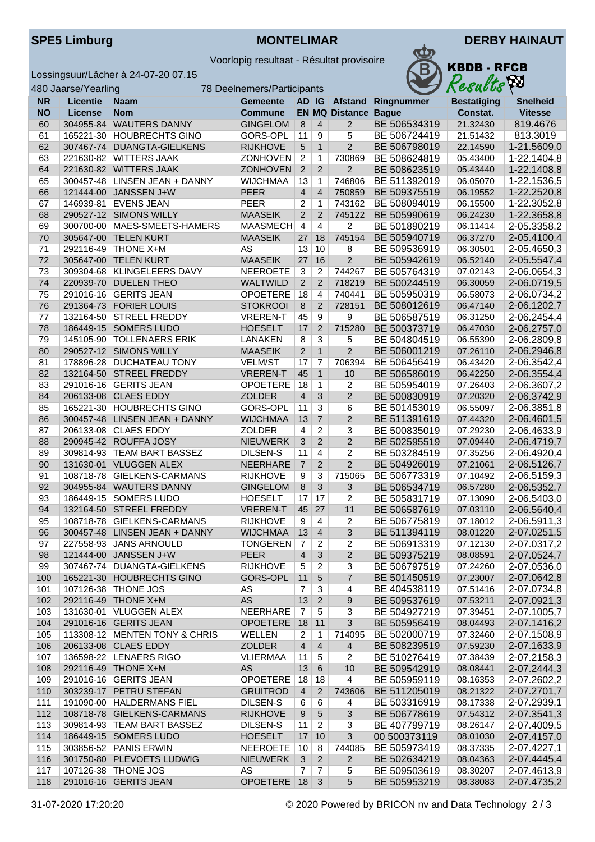

Voorlopig resultaat - Résultat provisoire

Lossingsuur/Lâcher à 24-07-20 07.15

| KBDB - RFCB |
|-------------|
| ,W          |
| esulto      |

| 480 Jaarse/Yearling<br>78 Deelnemers/Participants |                 |                               |                 |                         |                 |                             |                    | Kesults po         |                 |
|---------------------------------------------------|-----------------|-------------------------------|-----------------|-------------------------|-----------------|-----------------------------|--------------------|--------------------|-----------------|
| <b>NR</b>                                         | <b>Licentie</b> | <b>Naam</b>                   | <b>Gemeente</b> | AD IG                   |                 |                             | Afstand Ringnummer | <b>Bestatiging</b> | <b>Snelheid</b> |
| <b>NO</b>                                         | <b>License</b>  | <b>Nom</b>                    | <b>Commune</b>  |                         |                 | <b>EN MQ Distance Bague</b> |                    | Constat.           | <b>Vitesse</b>  |
| 60                                                | 304955-84       | <b>WAUTERS DANNY</b>          | <b>GINGELOM</b> | 8                       | $\overline{4}$  | 2                           | BE 506534319       | 21.32430           | 819.4676        |
| 61                                                | 165221-30       | <b>HOUBRECHTS GINO</b>        | GORS-OPL        | 11                      | 9               | 5                           | BE 506724419       | 21.51432           | 813.3019        |
| 62                                                | 307467-74       | DUANGTA-GIELKENS              | <b>RIJKHOVE</b> | 5                       | $\mathbf{1}$    | $\overline{2}$              | BE 506798019       | 22.14590           | 1-21.5609,0     |
| 63                                                |                 | 221630-82 WITTERS JAAK        | ZONHOVEN        | $\overline{2}$          | $\mathbf{1}$    | 730869                      | BE 508624819       | 05.43400           | 1-22.1404,8     |
| 64                                                | 221630-82       | <b>WITTERS JAAK</b>           | <b>ZONHOVEN</b> | $\overline{2}$          | $\overline{2}$  | $\overline{2}$              | BE 508623519       | 05.43440           | 1-22.1408,8     |
| 65                                                | 300457-48       | LINSEN JEAN + DANNY           | <b>WIJCHMAA</b> | 13                      | $\mathbf{1}$    | 746806                      | BE 511392019       | 06.05070           | 1-22.1536,5     |
| 66                                                | 121444-00       | JANSSEN J+W                   | <b>PEER</b>     | $\overline{\mathbf{4}}$ | $\overline{4}$  | 750859                      | BE 509375519       | 06.19552           | 1-22.2520,8     |
| 67                                                | 146939-81       | <b>EVENS JEAN</b>             | <b>PEER</b>     | $\overline{\mathbf{c}}$ | 1               | 743162                      | BE 508094019       | 06.15500           | 1-22.3052,8     |
| 68                                                | 290527-12       | <b>SIMONS WILLY</b>           | <b>MAASEIK</b>  | $\overline{2}$          | $\overline{2}$  | 745122                      | BE 505990619       | 06.24230           | 1-22.3658,8     |
| 69                                                | 300700-00       | MAES-SMEETS-HAMERS            | <b>MAASMECH</b> | $\overline{4}$          | 4               | 2                           | BE 501890219       | 06.11414           | 2-05.3358,2     |
| 70                                                | 305647-00       | <b>TELEN KURT</b>             | <b>MAASEIK</b>  | 27                      | 18              | 745154                      | BE 505940719       | 06.37270           | 2-05.4100,4     |
| 71                                                | 292116-49       | THONE X+M                     | AS              | 13                      | 10              | 8                           | BE 509536919       | 06.30501           | 2-05.4650,3     |
| 72                                                | 305647-00       | <b>TELEN KURT</b>             | <b>MAASEIK</b>  | 27                      | 16              | $\overline{2}$              | BE 505942619       | 06.52140           | 2-05.5547,4     |
| 73                                                | 309304-68       | <b>KLINGELEERS DAVY</b>       | <b>NEEROETE</b> | 3                       | 2               | 744267                      | BE 505764319       | 07.02143           | 2-06.0654,3     |
| 74                                                | 220939-70       | <b>DUELEN THEO</b>            | <b>WALTWILD</b> | $\overline{2}$          | 2               | 718219                      | BE 500244519       | 06.30059           | 2-06.0719,5     |
| 75                                                | 291016-16       | <b>GERITS JEAN</b>            | <b>OPOETERE</b> | 18                      | $\overline{4}$  | 740441                      | BE 505950319       | 06.58073           | 2-06.0734,2     |
| 76                                                | 291364-73       | <b>FORIER LOUIS</b>           | <b>STOKROOI</b> | 8                       | $\overline{2}$  | 728151                      | BE 508012619       | 06.47140           | 2-06.1202,7     |
| 77                                                | 132164-50       | <b>STREEL FREDDY</b>          | <b>VREREN-T</b> | 45                      | 9               | 9                           | BE 506587519       | 06.31250           | 2-06.2454,4     |
| 78                                                | 186449-15       | SOMERS LUDO                   | <b>HOESELT</b>  | 17                      | $\overline{2}$  | 715280                      | BE 500373719       | 06.47030           | 2-06.2757,0     |
| 79                                                |                 | 145105-90 TOLLENAERS ERIK     | <b>LANAKEN</b>  | 8                       | 3               | 5                           | BE 504804519       | 06.55390           | 2-06.2809,8     |
| 80                                                | 290527-12       | <b>SIMONS WILLY</b>           | <b>MAASEIK</b>  | $\overline{2}$          | $\mathbf{1}$    | $\overline{2}$              | BE 506001219       | 07.26110           | 2-06.2946,8     |
| 81                                                | 178896-28       | <b>DUCHATEAU TONY</b>         | <b>VELM/ST</b>  | 17                      | $\overline{7}$  | 706394                      | BE 506456419       | 06.43420           | 2-06.3542,4     |
| 82                                                | 132164-50       | <b>STREEL FREDDY</b>          | <b>VREREN-T</b> | 45                      | $\mathbf{1}$    | 10                          | BE 506586019       | 06.42250           | 2-06.3554,4     |
| 83                                                | 291016-16       | <b>GERITS JEAN</b>            | <b>OPOETERE</b> | 18                      | $\mathbf{1}$    | 2                           | BE 505954019       | 07.26403           | 2-06.3607,2     |
| 84                                                | 206133-08       | <b>CLAES EDDY</b>             | <b>ZOLDER</b>   | $\overline{4}$          | $\mathfrak{B}$  | $\overline{2}$              | BE 500830919       | 07.20320           | 2-06.3742,9     |
| 85                                                | 165221-30       | <b>HOUBRECHTS GINO</b>        | GORS-OPL        | 11                      | 3               | 6                           | BE 501453019       | 06.55097           | 2-06.3851,8     |
| 86                                                | 300457-48       | <b>LINSEN JEAN + DANNY</b>    | <b>WIJCHMAA</b> | 13                      | $\overline{7}$  | $\overline{2}$              | BE 511391619       | 07.44320           | 2-06.4601,5     |
| 87                                                | 206133-08       | <b>CLAES EDDY</b>             | ZOLDER          | 4                       | $\overline{c}$  | 3                           | BE 500835019       | 07.29230           | 2-06.4633,9     |
| 88                                                | 290945-42       | ROUFFA JOSY                   | <b>NIEUWERK</b> | $\overline{3}$          | $\overline{2}$  | $\overline{c}$              | BE 502595519       | 07.09440           | 2-06.4719,7     |
| 89                                                |                 | 309814-93 TEAM BART BASSEZ    | <b>DILSEN-S</b> | 11                      | $\overline{4}$  | 2                           | BE 503284519       | 07.35256           | 2-06.4920,4     |
| 90                                                | 131630-01       | <b>VLUGGEN ALEX</b>           | NEERHARE        | $\overline{7}$          | $\overline{2}$  | $\overline{2}$              | BE 504926019       | 07.21061           | 2-06.5126,7     |
| 91                                                | 108718-78       | GIELKENS-CARMANS              | <b>RIJKHOVE</b> | 9                       | 3               | 715065                      | BE 506773319       | 07.10492           | 2-06.5159,3     |
| 92                                                | 304955-84       | <b>WAUTERS DANNY</b>          | <b>GINGELOM</b> | 8                       | $\mathfrak{B}$  | 3                           | BE 506534719       | 06.57280           | 2-06.5352,7     |
| 93                                                | 186449-15       | SOMERS LUDO                   | <b>HOESELT</b>  | 17                      | 17              | 2                           | BE 505831719       | 07.13090           | 2-06.5403,0     |
| 94                                                | 132164-50       | STREEL FREDDY                 | <b>VREREN-T</b> | 45                      | 27              | 11                          | BE 506587619       | 07.03110           | 2-06.5640,4     |
| 95                                                |                 | 108718-78 GIELKENS-CARMANS    | <b>RIJKHOVE</b> | 9                       | $\overline{4}$  | $\overline{2}$              | BE 506775819       | 07.18012           | 2-06.5911,3     |
| 96                                                |                 | 300457-48 LINSEN JEAN + DANNY | <b>WIJCHMAA</b> | $\vert$ 13              | $\vert$ 4       | 3                           | BE 511394119       | 08.01220           | 2-07.0251,5     |
| 97                                                |                 | 227558-93 JANS ARNOULD        | <b>TONGEREN</b> | 7                       | $\overline{2}$  | 2                           | BE 506913319       | 07.12130           | 2-07.0317,2     |
| 98                                                |                 | 121444-00 JANSSEN J+W         | <b>PEER</b>     | $\overline{4}$          | $\mathfrak{S}$  | $\overline{2}$              | BE 509375219       | 08.08591           | 2-07.0524,7     |
| 99                                                |                 | 307467-74 DUANGTA-GIELKENS    | <b>RIJKHOVE</b> | 5                       | $\overline{c}$  | 3                           | BE 506797519       | 07.24260           | 2-07.0536,0     |
| 100                                               |                 | 165221-30 HOUBRECHTS GINO     | GORS-OPL        | 11                      | $\sqrt{5}$      | $\overline{7}$              | BE 501450519       | 07.23007           | 2-07.0642,8     |
| 101                                               |                 | 107126-38 THONE JOS           | AS              | $\overline{7}$          | 3               | 4                           | BE 404538119       | 07.51416           | 2-07.0734,8     |
| 102                                               |                 | 292116-49 THONE X+M           | AS              | 13                      | $\overline{2}$  | 9                           | BE 509537619       | 07.53211           | 2-07.0921,3     |
| 103                                               |                 | 131630-01   VLUGGEN ALEX      | NEERHARE        | $\overline{7}$          | 5               | 3                           | BE 504927219       | 07.39451           | 2-07.1005,7     |
| 104                                               |                 | 291016-16 GERITS JEAN         | OPOETERE        | 18                      | 11              | 3                           | BE 505956419       | 08.04493           | 2-07.1416,2     |
| 105                                               |                 | 113308-12 MENTEN TONY & CHRIS | WELLEN          | 2                       | $\mathbf 1$     | 714095                      | BE 502000719       | 07.32460           | 2-07.1508,9     |
| 106                                               |                 | 206133-08 CLAES EDDY          | ZOLDER          | $\overline{4}$          | $\overline{4}$  | $\overline{4}$              | BE 508239519       | 07.59230           | 2-07.1633,9     |
| 107                                               |                 | 136598-22 LENAERS RIGO        | <b>VLIERMAA</b> | 11                      | 5               | 2                           | BE 510276419       | 07.38439           | 2-07.2158,3     |
| 108                                               |                 | 292116-49 THONE X+M           | AS              | 13                      | $6\phantom{1}6$ | 10                          | BE 509542919       | 08.08441           | 2-07.2444,3     |
| 109                                               |                 | 291016-16 GERITS JEAN         | <b>OPOETERE</b> | 18                      | 18              | 4                           | BE 505959119       | 08.16353           | 2-07.2602,2     |
| 110                                               |                 | 303239-17 PETRU STEFAN        | <b>GRUITROD</b> | $\overline{4}$          | $\mathbf{2}$    | 743606                      | BE 511205019       | 08.21322           | 2-07.2701,7     |
| 111                                               |                 | 191090-00   HALDERMANS FIEL   | DILSEN-S        | 6                       | 6               | 4                           | BE 503316919       | 08.17338           | 2-07.2939,1     |
| 112                                               |                 | 108718-78 GIELKENS-CARMANS    | <b>RIJKHOVE</b> | 9                       | $\sqrt{5}$      | $\sqrt{3}$                  | BE 506778619       | 07.54312           | 2-07.3541,3     |
| 113                                               |                 | 309814-93 TEAM BART BASSEZ    | DILSEN-S        | 11                      | $\overline{c}$  | 3                           | BE 407799719       | 08.26147           | 2-07.4009,5     |
| 114                                               |                 | 186449-15 SOMERS LUDO         | <b>HOESELT</b>  | 17                      | 10              | $\overline{3}$              | 00 500373119       | 08.01030           | 2-07.4157,0     |
| 115                                               |                 | 303856-52 PANIS ERWIN         | <b>NEEROETE</b> | 10                      | 8               | 744085                      | BE 505973419       | 08.37335           | 2-07.4227,1     |
| 116                                               |                 | 301750-80 PLEVOETS LUDWIG     | <b>NIEUWERK</b> | $\mathbf{3}$            | $\overline{2}$  | 2                           | BE 502634219       | 08.04363           | 2-07.4445,4     |
| 117                                               |                 | 107126-38 THONE JOS           | AS              | $\overline{7}$          | $\overline{7}$  | 5                           | BE 509503619       | 08.30207           | 2-07.4613,9     |
| 118                                               |                 | 291016-16 GERITS JEAN         | OPOETERE 18     |                         | 3               | 5                           | BE 505953219       | 08.38083           | 2-07.4735,2     |